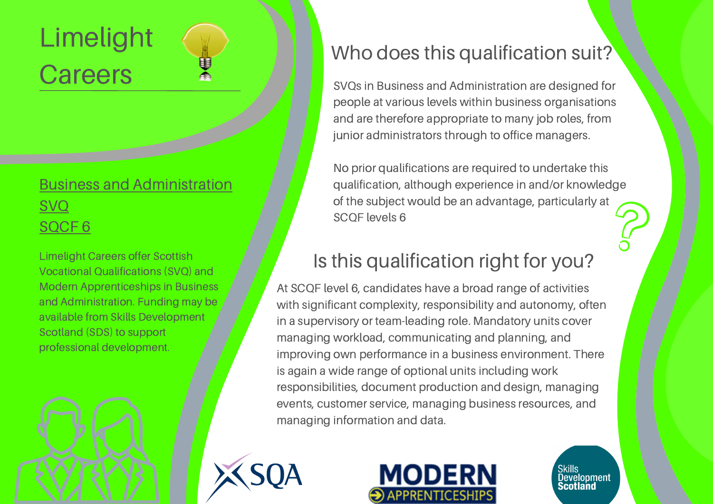# Limelight **Careers**

#### Business and [Administration](http://www.limelightcareers.co.uk/wp-content/uploads/2020/04/Business-Admin-SCQF-Level-6.pdf) SVQ [SQCF](http://www.limelightcareers.co.uk/wp-content/uploads/2020/04/Business-Admin-SCQF-Level-6.pdf) 6

Limelight Careers offer Scottish Vocational Qualifications (SVQ) and Modern Apprenticeships in Business and Administration. Funding may be available from Skills Development Scotland (SDS) to support professional development.



#### Who does this qualification suit?

SVQs in Business and Administration are designed for people at various levels within business organisations and are therefore appropriate to many job roles, from junior administrators through to office managers.

No prior qualifications are required to undertake this qualification, although experience in and/or knowledge of the subject would be an advantage, particularly at SCQF levels 6

### Is this qualification right for you?

At SCQF level 6, candidates have a broad range of activities with significant complexity, responsibility and autonomy, often in a supervisory or team-leading role. Mandatory units cover managing workload, communicating and planning, and improving own performance in a business environment. There is again a wide range of optional units including work responsibilities, document production and design, managing events, customer service, managing business resources, and managing information and data.





Skills<br>Dev<u>el</u>opment Scotland